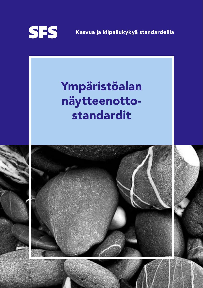

Kasvua ja kilpailukykyä standardeilla

# Ympäristöalan näytteenottostandardit

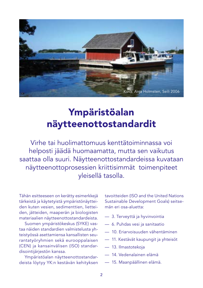

## Ympäristöalan näytteenottostandardit

Virhe tai huolimattomuus kenttätoiminnassa voi helposti jäädä huomaamatta, mutta sen vaikutus saattaa olla suuri. Näytteenottostandardeissa kuvataan näytteenottoprosessien kriittisimmät toimenpiteet yleisellä tasolla.

Tähän esitteeseen on kerätty esimerkkejä tärkeistä ja käytetyistä ympäristönäytteiden kuten vesien, sedimenttien, lietteiden, jätteiden, maaperän ja biologisten materiaalien näytteenottostandardeista.

Suomen ympäristökeskus (SYKE) vastaa näiden standardien valmistelusta yhteistyössä asettamiensa kansallisten seurantatyöryhmien sekä eurooppalaisen (CEN) ja kansainvälisen (ISO) standardisointijärjestön kanssa.

Ympäristöalan näytteenottostandardeista löytyy YK:n kestävän kehityksen tavoitteiden (ISO and the United Nations Sustainable Development Goals) seitsemän eri osa-aluetta:

- 3. Terveyttä ja hyvinvointia
- 6. Puhdas vesi ja sanitaatio
- 10. Eriarvoisuuden vähentäminen
- 11. Kestävät kaupungit ja yhteisöt
- 13. Ilmastotekoja
- 14. Vedenalainen elämä
- 15. Maanpäällinen elämä.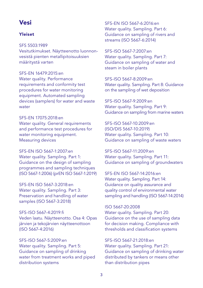## Vesi

#### Yleiset

SFS 5503:1989

Vesitutkimukset. Näytteenotto luonnonvesistä pienten metallipitoisuuksien määritystä varten

SFS-EN 16479:2015:en

Water quality. Performance requirements and conformity test procedures for water monitoring equipment. Automated sampling devices (samplers) for water and waste water

SFS-EN 17075:2018:en Water quality. General requirements and performance test procedures for water monitoring equipment. Measuring devices

SFS-EN ISO 5667-1:2007:en Water quality. Sampling. Part 1: Guidance on the design of sampling programmes and sampling techniques (ISO 5667-1:2006) (prEN ISO 5667-1:2019)

SFS-EN ISO 5667-3:2018:en Water quality. Sampling. Part 3: Preservation and handling of water samples (ISO 5667-3:2018)

SFS-ISO 5667-4:2019:fi Veden laatu. Näytteenotto. Osa 4: Opas järvien ja tekojärvien näytteenottoon (ISO 5667-4:2016)

SFS-ISO 5667-5:2009:en Water quality. Sampling. Part 5: Guidance on sampling of drinking water from treatment works and piped distribution systems

SFS-EN ISO 5667-6:2016:en Water quality. Sampling. Part 6: Guidance on sampling of rivers and streams (ISO 5667-6:2014)

SFS-ISO 5667-7:2007:en Water quality. Sampling. Part 7: Guidance on sampling of water and steam in boiler plants

SFS-ISO 5667-8:2009:en Water quality. Sampling. Part 8: Guidance on the sampling of wet deposition

SFS-ISO 5667-9:2009:en Water quality. Sampling. Part 9: Guidance on sampling from marine waters

SFS-ISO 5667-10:2009:en (ISO/DIS 5667-10:2019) Water quality. Sampling. Part 10: Guidance on sampling of waste waters

SFS-ISO 5667-11:2009:en Water quality. Sampling. Part 11: Guidance on sampling of groundwaters

SFS-EN ISO 5667-14:2016:en Water quality. Sampling. Part 14: Guidance on quality assurance and quality control of environmental water sampling and handling (ISO 5667-14:2014)

ISO 5667-20:2008 Water quality. Sampling. Part 20: Guidance on the use of sampling data for decision making. Compliance with thresholds and classification systems

SFS-ISO 5667-21:2018:en Water quality. Sampling. Part 21: Guidance on sampling of drinking water distributed by tankers or means other than distribution pipes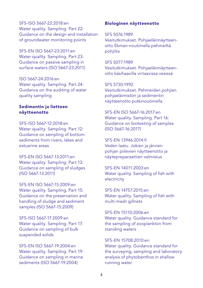SFS-ISO 5667-22:2018:en Water quality. Sampling. Part 22: Guidance on the design and installation of groundwater monitoring points

SFS-EN ISO 5667-23:2011:en Water quality. Sampling. Part 23: Guidance on passive sampling in surface waters (ISO 5667-23:2011)

ISO 5667-24:2016:en Water quality. Sampling. Part 24: Guidance on the auditing of water quality sampling

#### Sedimentin ja lietteen näytteenotto

SFS-ISO 5667-12:2018:en Water quality. Sampling. Part 12: Guidance on sampling of bottom sediments from rivers, lakes and estuarine areas

SFS-EN ISO 5667-13:2011:en Water quality. Sampling. Part 13: Guidance on sampling of sludges (ISO 5667-13:2011)

SFS-EN ISO 5667-15:2009:en Water quality. Sampling. Part 15: Guidance on the preservation and handling of sludge and sediment samples (ISO 5667-15:2009)

SFS-ISO 5667-17:2009:en Water quality. Sampling. Part 17: Guidance on sampling of bulk suspended solids

SFS-EN ISO 5667-19:2004:en Water quality. Sampling. Part 19: Guidance on sampling in marine sediments (ISO 5667-19:2004)

#### Biologinen näytteenotto

SFS 5076:1989 Vesitutkimukset. Pohjaeläinnäytteenotto Ekman-noutimella pehmeiltä pohjilta

SFS 5077:1989 Vesitutkimukset. Pohjaeläinnäytteenotto käsihaavilla virtaavissa vesissä

SFS 5730:1992 Vesitutkimukset. Pehmeiden pohjien pohjaeläimistön ja sedimentin näytteenotto putkinoutimella

SFS-EN ISO 5667-16:2017:en Water quality. Sampling. Part 16: Guidance on biotesting of samples (ISO 5667-16:2017)

SFS-EN 13946:2014:fi Veden laatu. Jokien ja järvien pohjan piilevien näytteenotto ja näytepreparaattien valmistus

SFS-EN 14011:2003:en Water quality. Sampling of fish with electricity

SFS-EN 14757:2015:en Water quality. Sampling of fish with multi-mesh gillnets

SFS-EN 15110:2006:en Water quality. Guidance standard for the sampling of zooplankton from standing waters

SFS-EN 15708:2010:en Water quality. Guidance standard for the surveying, sampling and laboratory analysis of phytobenthos in shallow running water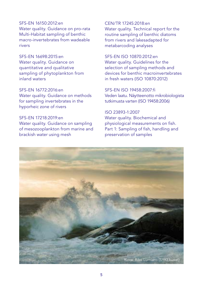#### SFS-EN 16150:2012:en Water quality. Guidance on pro-rata Multi-Habitat sampling of benthic macro-invertebrates from wadeable rivers

SFS-EN 16698:2015:en Water quality. Guidance on quantitative and qualitative sampling of phytoplankton from inland waters

SFS-EN 16772:2016:en Water quality. Guidance on methods for sampling invertebrates in the hyporheic zone of rivers

SFS-EN 17218:2019:en Water quality. Guidance on sampling of mesozooplankton from marine and brackish water using mesh

#### CEN/TR 17245:2018:en

Water quality. Technical report for the routine sampling of benthic diatoms from rivers and lakesadapted for metabarcoding analyses

SFS-EN ISO 10870:2012:en Water quality. Guidelines for the selection of sampling methods and devices for benthic macroinvertebrates in fresh waters (ISO 10870:2012)

SFS-EN ISO 19458:2007:fi Veden laatu. Näytteenotto mikrobiologista tutkimusta varten (ISO 19458:2006)

ISO 23893-1:2007 Water quality. Biochemical and physiological measurements on fish. Part 1: Sampling of fish, handling and preservation of samples

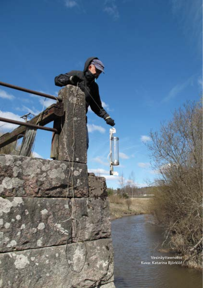Vesinäytteenotto Kuva: Katarina Björklöf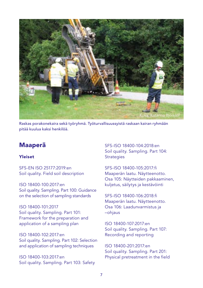

Raskas porakonekaira sekä työryhmä. Työturvallisuussyistä raskaan kairan ryhmään pitää kuulua kaksi henkilöä.

## Maaperä

#### Yleiset

SFS-EN ISO 25177:2019:en Soil quality. Field soil description

ISO 18400-100:2017:en Soil quality. Sampling. Part 100: Guidance on the selection of sampling standards

ISO 18400-101:2017 Soil quality. Sampling. Part 101: Framework for the preparation and application of a sampling plan

ISO 18400-102:2017:en Soil quality. Sampling. Part 102: Selection and application of sampling techniques

ISO 18400-103:2017:en Soil quality. Sampling. Part 103: Safety SFS-ISO 18400-104:2018:en Soil quality. Sampling. Part 104: **Strategies** 

SFS-ISO 18400-105:2017:fi Maaperän laatu. Näytteenotto. Osa 105: Näytteiden pakkaaminen, kuljetus, säilytys ja kestävöinti

SFS-ISO 18400-106:2018:fi Maaperän laatu. Näytteenotto. Osa 106: Laadunvarmistus ja –ohjaus

ISO 18400-107:2017:en Soil quality. Sampling. Part 107: Recording and reporting

ISO 18400-201:2017:en Soil quality. Sampling. Part 201: Physical pretreatment in the field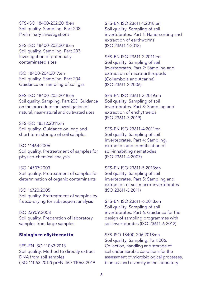SFS-ISO 18400-202:2018:en Soil quality. Sampling. Part 202: Preliminary investigations

SFS-ISO 18400-203:2018:en Soil quality. Sampling. Part 203: Investigation of potentially contaminated sites

ISO 18400-204:2017:en Soil quality. Sampling. Part 204: Guidance on sampling of soil gas

SFS-ISO 18400-205:2018:en Soil quality. Sampling. Part 205: Guidance on the procedure for investigation of natural, near-natural and cultivated sites

SFS-ISO 18512:2011:en Soil quality. Guidance on long and short term storage of soil samples

ISO 11464:2006 Soil quality. Pretreatment of samples for physico-chemical analysis

ISO 14507:2003 Soil quality. Pretreatment of samples for determination of organic contaminants

ISO 16720:2005 Soil quality. Pretreatment of samples by freeze-drying for subsequent analysis

ISO 23909:2008 Soil quality. Preparation of laboratory samples from large samples

#### Biologinen näytteenotto

SFS-EN ISO 11063:2013 Soil quality. Method to directly extract DNA from soil samples (ISO 11063:2012) prEN ISO 11063:2019 SFS-EN ISO 23611-1:2018:en Soil quality. Sampling of soil invertebrates. Part 1: Hand-sorting and extraction of earthworms (ISO 23611-1:2018)

SFS-EN ISO 23611-2:2011:en Soil quality. Sampling of soil invertebrates. Part 2: Sampling and extraction of micro-arthropods (Collembola and Acarina) (ISO 23611-2:2006)

SFS-EN ISO 23611-3:2019:en Soil quality. Sampling of soil invertebrates. Part 3: Sampling and extraction of enchytraeids (ISO 23611-3:2019)

SFS-EN ISO 23611-4:2011:en Soil quality. Sampling of soil invertebrates. Part 4: Sampling, extraction and identification of soil-inhabiting nematodes (ISO 23611-4:2007)

SFS-EN ISO 23611-5:2013:en Soil quality. Sampling of soil invertebrates. Part 5: Sampling and extraction of soil macro-invertebrates (ISO 23611-5:2011)

SFS-EN ISO 23611-6:2013:en Soil quality. Sampling of soil invertebrates. Part 6: Guidance for the design of sampling programmes with soil invertebrates (ISO 23611-6:2012)

SFS-ISO 18400-206:2018:en Soil quality. Sampling. Part 206: Collection, handling and storage of soil under aerobic conditions for the assessment of microbiological processes, biomass and diversity in the laboratory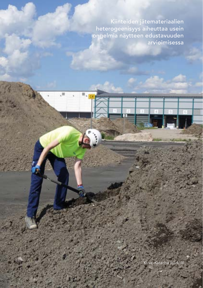Kiinteiden jätemateriaalien heterogeenisyys aiheuttaa usein ongelmia näytteen edustavuuden arvioimisessa

Kuva: Katarina Björklöf

9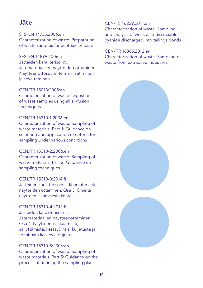## Jäte

SFS-EN 14735:2006:en Characterization of waste. Preparation of waste samples for ecotoxicity tests

SFS-EN 14899:2006:fi Jätteiden karakterisointi. Jätemateriaalien näytteiden ottaminen. Näytteenottosuunnitelman laatiminen ja soveltaminen

CEN/TR 15018:2005:en Characterization of waste. Digestion of waste samples using alkali-fusion techniques

CEN/TR 15310-1:2006:en Characterization of waste. Sampling of waste materials. Part 1: Guidance on selection and application of criteria for sampling under various conditions

CEN/TR 15310-2:2006:en Characterization of waste. Sampling of waste materials. Part 2: Guidance on sampling techniques

CEN/TR 15310-3:2014:fi Jätteiden karakterisointi. Jätemateriaalinäytteiden ottaminen. Osa 3: Ohjeita näytteen jakamisesta kentällä

CEN/TR 15310-4:2013:fi Jätteiden karakterisointi. Jätemateriaalien näytteenottaminen. Osa 4: Näytteen pakkaamista, säilyttämistä, kestävöintiä, kuljetusta ja toimitusta koskevia ohjeita

#### CEN/TR 15310-5:2006:en

Characterization of waste. Sampling of waste materials. Part 5: Guidance on the process of defining the sampling plan

CEN/TS 16229:2011:en Characterization of waste. Sampling and analysis of weak acid dissociable cyanide discharged into tailings ponds

CEN/TR 16365:2012:en Characterization of waste. Sampling of waste from extractive industries

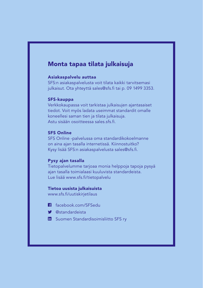### Monta tapaa tilata julkaisuja

#### Asiakaspalvelu auttaa

SFS:n asiakaspalvelusta voit tilata kaikki tarvitsemasi julkaisut. Ota yhteyttä sales@sfs.fi tai p. 09 1499 3353.

#### SFS-kauppa

Verkkokaupassa voit tarkistaa julkaisujen ajantasaiset tiedot. Voit myös ladata useimmat standardit omalle koneellesi saman tien ja tilata julkaisuja. Astu sisään osoitteessa sales.sfs.fi.

#### SFS Online

SFS Online -palvelussa oma standardikokoelmanne on aina ajan tasalla internetissä. Kiinnostuitko? Kysy lisää SFS:n asiakaspalvelusta sales@sfs.fi.

#### Pysy ajan tasalla

Tietopalvelumme tarjoaa monia helppoja tapoja pysyä ajan tasalla toimialaasi kuuluvista standardeista. Lue lisää www.sfs.fi/tietopalvelu

#### Tietoa uusista julkaisuista

www.sfs.fi/uutiskirjetilaus

- facebook.com/SFSedu H
- @standardeista
- **ED** Suomen Standardisoimisliitto SFS ry